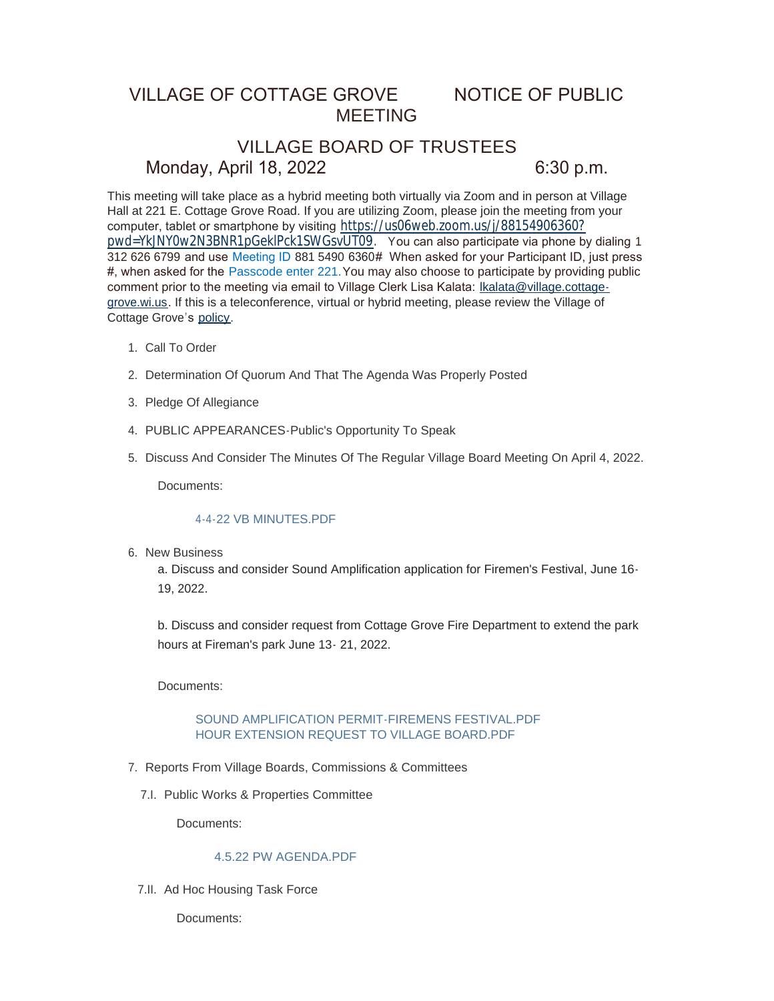## VILLAGE OF COTTAGE GROVE NOTICE OF PUBLIC MEETING

# VILLAGE BOARD OF TRUSTEES Monday, April 18, 2022 6:30 p.m.

This meeting will take place as a hybrid meeting both virtually via Zoom and in person at Village Hall at 221 E. Cottage Grove Road. If you are utilizing Zoom, please join the meeting from your computer, tablet or smartphone by visiting [https://us06web.zoom.us/j/88154906360?](https://us06web.zoom.us/j/88154906360?pwd=YkJNY0w2N3BNR1pGeklPck1SWGsvUT09) pwd=YkJNY0w2N3BNR1pGeklPck1SWGsvUT09. You can also participate via phone by dialing 1 312 626 6799 and use Meeting ID 881 5490 6360# When asked for your Participant ID, just press #, when asked for the Passcode enter 221.You may also choose to participate by providing public comment prior to the meeting via email to Village Clerk Lisa Kalata: Ikalata@village.cottagegrove.wi.us. If this is a teleconference, virtual or hybrid meeting, plea[se review the Village of](mailto:lkalata@village.cottage-grove.wi.us)  Cottage Grove's [policy](https://www.vi.cottagegrove.wi.gov/DocumentCenter/View/1850/Virtual-Hybrid-Tele-meeting-Policy-Final).

- 1. Call To Order
- 2. Determination Of Quorum And That The Agenda Was Properly Posted
- 3. Pledge Of Allegiance
- PUBLIC APPEARANCES-Public's Opportunity To Speak 4.
- 5. Discuss And Consider The Minutes Of The Regular Village Board Meeting On April 4, 2022.

Documents:

#### [4-4-22 VB MINUTES.PDF](https://www.vi.cottagegrove.wi.gov/AgendaCenter/ViewFile/Item/9928?fileID=19539)

6. New Business

a. Discuss and consider Sound Amplification application for Firemen's Festival, June 16- 19, 2022.

b. Discuss and consider request from Cottage Grove Fire Department to extend the park hours at Fireman's park June 13- 21, 2022.

Documents:

#### [SOUND AMPLIFICATION PERMIT-FIREMENS FESTIVAL.PDF](https://www.vi.cottagegrove.wi.gov/AgendaCenter/ViewFile/Item/9889?fileID=19496) [HOUR EXTENSION REQUEST TO VILLAGE BOARD.PDF](https://www.vi.cottagegrove.wi.gov/AgendaCenter/ViewFile/Item/9889?fileID=19497)

- 7. Reports From Village Boards, Commissions & Committees
	- 7.I. Public Works & Properties Committee

Documents:

## [4.5.22 PW AGENDA.PDF](https://www.vi.cottagegrove.wi.gov/AgendaCenter/ViewFile/Item/9891?fileID=19498)

7.II. Ad Hoc Housing Task Force

Documents: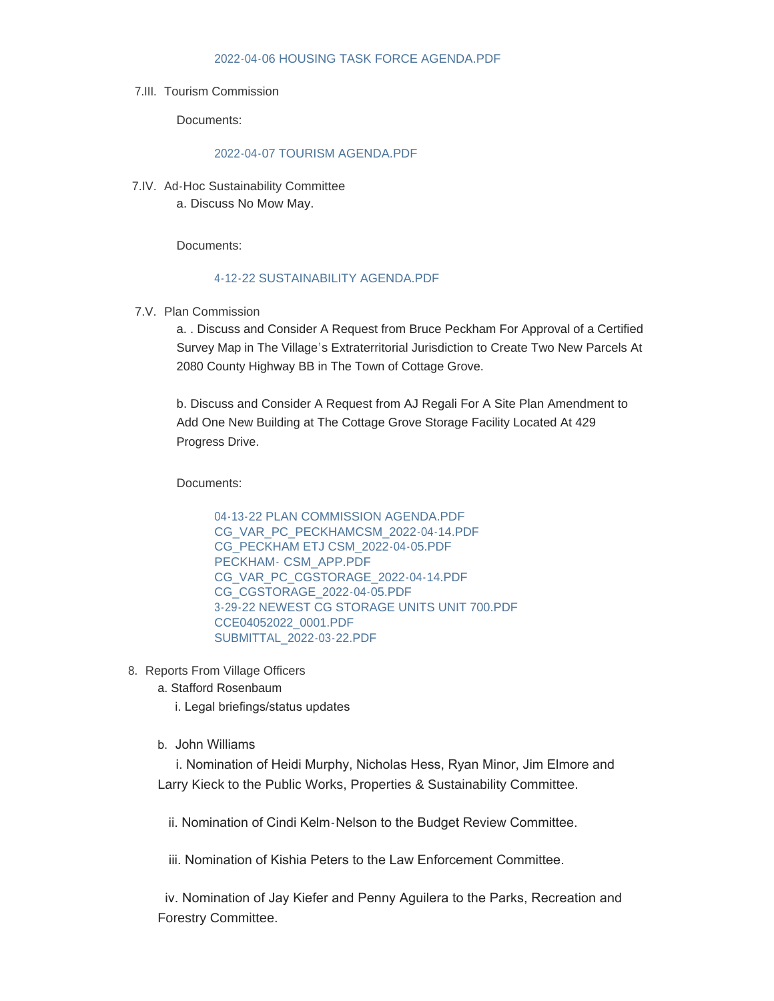#### [2022-04-06 HOUSING TASK FORCE AGENDA.PDF](https://www.vi.cottagegrove.wi.gov/AgendaCenter/ViewFile/Item/9892?fileID=19499)

#### 7.III. Tourism Commission

Documents:

#### [2022-04-07 TOURISM AGENDA.PDF](https://www.vi.cottagegrove.wi.gov/AgendaCenter/ViewFile/Item/9893?fileID=19500)

7.IV. Ad-Hoc Sustainability Committee a. Discuss No Mow May.

Documents:

#### [4-12-22 SUSTAINABILITY AGENDA.PDF](https://www.vi.cottagegrove.wi.gov/AgendaCenter/ViewFile/Item/9913?fileID=19520)

7.V. Plan Commission

a. . Discuss and Consider A Request from Bruce Peckham For Approval of a Certified Survey Map in The Village's Extraterritorial Jurisdiction to Create Two New Parcels At 2080 County Highway BB in The Town of Cottage Grove.

b. Discuss and Consider A Request from AJ Regali For A Site Plan Amendment to Add One New Building at The Cottage Grove Storage Facility Located At 429 Progress Drive.

Documents:

[04-13-22 PLAN COMMISSION AGENDA.PDF](https://www.vi.cottagegrove.wi.gov/AgendaCenter/ViewFile/Item/9923?fileID=19528) [CG\\_VAR\\_PC\\_PECKHAMCSM\\_2022-04-14.PDF](https://www.vi.cottagegrove.wi.gov/AgendaCenter/ViewFile/Item/9923?fileID=19529) [CG\\_PECKHAM ETJ CSM\\_2022-04-05.PDF](https://www.vi.cottagegrove.wi.gov/AgendaCenter/ViewFile/Item/9923?fileID=19530) PECKHAM- [CSM\\_APP.PDF](https://www.vi.cottagegrove.wi.gov/AgendaCenter/ViewFile/Item/9923?fileID=19531) [CG\\_VAR\\_PC\\_CGSTORAGE\\_2022-04-14.PDF](https://www.vi.cottagegrove.wi.gov/AgendaCenter/ViewFile/Item/9923?fileID=19532) [CG\\_CGSTORAGE\\_2022-04-05.PDF](https://www.vi.cottagegrove.wi.gov/AgendaCenter/ViewFile/Item/9923?fileID=19533) [3-29-22 NEWEST CG STORAGE UNITS UNIT 700.PDF](https://www.vi.cottagegrove.wi.gov/AgendaCenter/ViewFile/Item/9923?fileID=19534) [CCE04052022\\_0001.PDF](https://www.vi.cottagegrove.wi.gov/AgendaCenter/ViewFile/Item/9923?fileID=19535) [SUBMITTAL\\_2022-03-22.PDF](https://www.vi.cottagegrove.wi.gov/AgendaCenter/ViewFile/Item/9923?fileID=19536)

8. Reports From Village Officers

a. Stafford Rosenbaum

i. Legal briefings/status updates

b. John Williams

 i. Nomination of Heidi Murphy, Nicholas Hess, Ryan Minor, Jim Elmore and Larry Kieck to the Public Works, Properties & Sustainability Committee.

ii. Nomination of Cindi Kelm-Nelson to the Budget Review Committee.

iii. Nomination of Kishia Peters to the Law Enforcement Committee.

 iv. Nomination of Jay Kiefer and Penny Aguilera to the Parks, Recreation and Forestry Committee.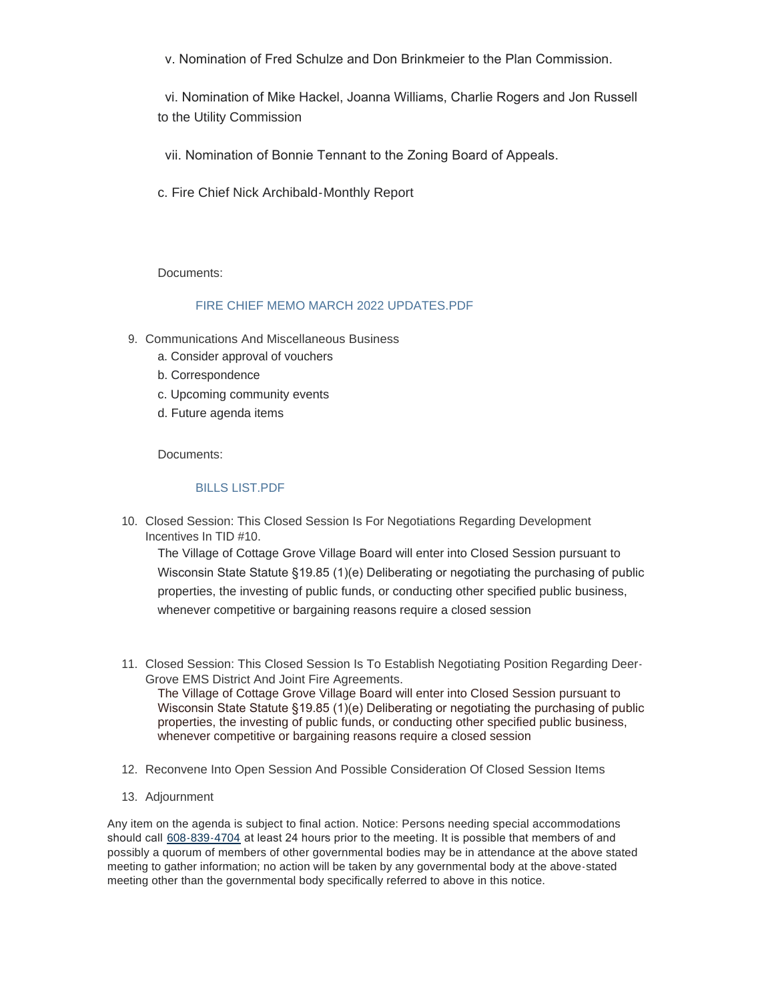v. Nomination of Fred Schulze and Don Brinkmeier to the Plan Commission.

 vi. Nomination of Mike Hackel, Joanna Williams, Charlie Rogers and Jon Russell to the Utility Commission

vii. Nomination of Bonnie Tennant to the Zoning Board of Appeals.

c. Fire Chief Nick Archibald-Monthly Report

Documents:

## [FIRE CHIEF MEMO MARCH 2022 UPDATES.PDF](https://www.vi.cottagegrove.wi.gov/AgendaCenter/ViewFile/Item/9929?fileID=19540)

- 9. Communications And Miscellaneous Business
	- a. Consider approval of vouchers
	- b. Correspondence
	- c. Upcoming community events
	- d. Future agenda items

Documents:

#### [BILLS LIST.PDF](https://www.vi.cottagegrove.wi.gov/AgendaCenter/ViewFile/Item/9930?fileID=19542)

10. Closed Session: This Closed Session Is For Negotiations Regarding Development Incentives In TID #10.

The Village of Cottage Grove Village Board will enter into Closed Session pursuant to Wisconsin State Statute §19.85 (1)(e) Deliberating or negotiating the purchasing of public properties, the investing of public funds, or conducting other specified public business, whenever competitive or bargaining reasons require a closed session

- Closed Session: This Closed Session Is To Establish Negotiating Position Regarding Deer-11. Grove EMS District And Joint Fire Agreements. The Village of Cottage Grove Village Board will enter into Closed Session pursuant to Wisconsin State Statute §19.85 (1)(e) Deliberating or negotiating the purchasing of public properties, the investing of public funds, or conducting other specified public business, whenever competitive or bargaining reasons require a closed session
- 12. Reconvene Into Open Session And Possible Consideration Of Closed Session Items
- 13. Adjournment

Any item on the agenda is subject to final action. Notice: Persons needing special accommodations should call [608-839-4704](tel:608-839-4704) at least 24 hours prior to the meeting. It is possible that members of and possibly a quorum of members of other governmental bodies may be in attendance at the above stated meeting to gather information; no action will be taken by any governmental body at the above-stated meeting other than the governmental body specifically referred to above in this notice.